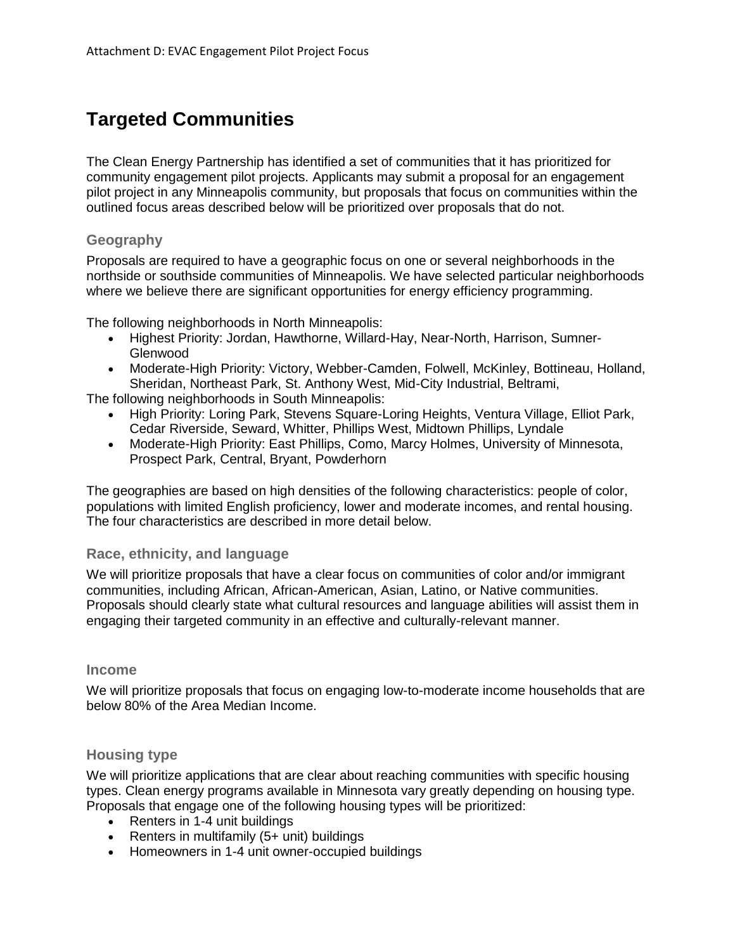# **Targeted Communities**

The Clean Energy Partnership has identified a set of communities that it has prioritized for community engagement pilot projects. Applicants may submit a proposal for an engagement pilot project in any Minneapolis community, but proposals that focus on communities within the outlined focus areas described below will be prioritized over proposals that do not.

### **Geography**

Proposals are required to have a geographic focus on one or several neighborhoods in the northside or southside communities of Minneapolis. We have selected particular neighborhoods where we believe there are significant opportunities for energy efficiency programming.

The following neighborhoods in North Minneapolis:

- Highest Priority: Jordan, Hawthorne, Willard-Hay, Near-North, Harrison, Sumner-Glenwood
- Moderate-High Priority: Victory, Webber-Camden, Folwell, McKinley, Bottineau, Holland, Sheridan, Northeast Park, St. Anthony West, Mid-City Industrial, Beltrami,

The following neighborhoods in South Minneapolis:

- High Priority: Loring Park, Stevens Square-Loring Heights, Ventura Village, Elliot Park, Cedar Riverside, Seward, Whitter, Phillips West, Midtown Phillips, Lyndale
- Moderate-High Priority: East Phillips, Como, Marcy Holmes, University of Minnesota, Prospect Park, Central, Bryant, Powderhorn

The geographies are based on high densities of the following characteristics: people of color, populations with limited English proficiency, lower and moderate incomes, and rental housing. The four characteristics are described in more detail below.

#### **Race, ethnicity, and language**

We will prioritize proposals that have a clear focus on communities of color and/or immigrant communities, including African, African-American, Asian, Latino, or Native communities. Proposals should clearly state what cultural resources and language abilities will assist them in engaging their targeted community in an effective and culturally-relevant manner.

#### **Income**

We will prioritize proposals that focus on engaging low-to-moderate income households that are below 80% of the Area Median Income.

### **Housing type**

We will prioritize applications that are clear about reaching communities with specific housing types. Clean energy programs available in Minnesota vary greatly depending on housing type. Proposals that engage one of the following housing types will be prioritized:

- Renters in 1-4 unit buildings
- Renters in multifamily (5+ unit) buildings
- Homeowners in 1-4 unit owner-occupied buildings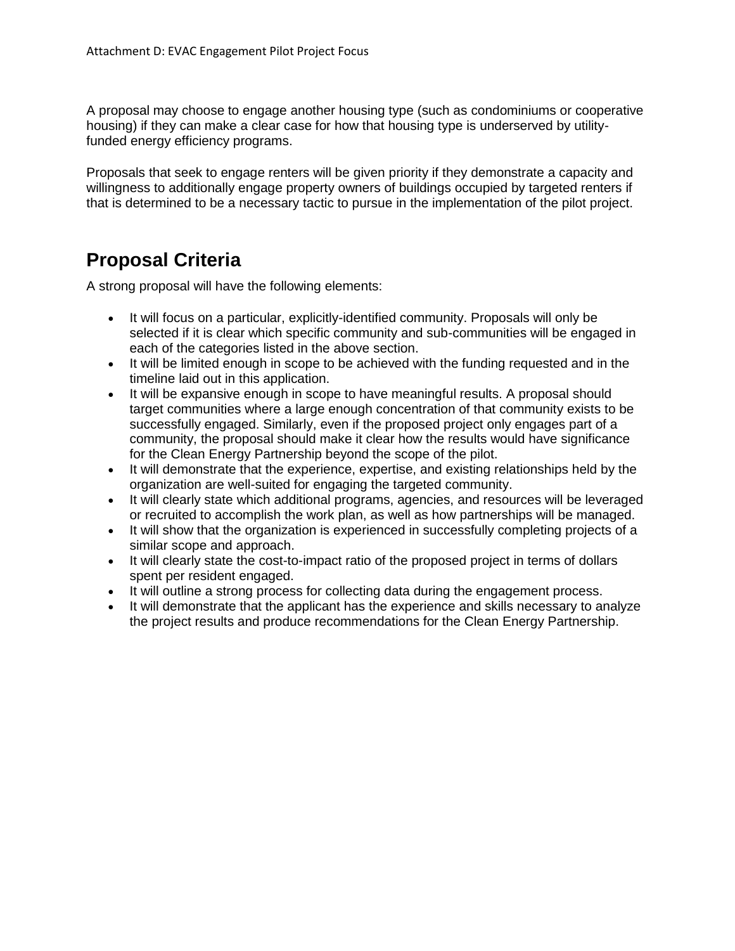A proposal may choose to engage another housing type (such as condominiums or cooperative housing) if they can make a clear case for how that housing type is underserved by utilityfunded energy efficiency programs.

Proposals that seek to engage renters will be given priority if they demonstrate a capacity and willingness to additionally engage property owners of buildings occupied by targeted renters if that is determined to be a necessary tactic to pursue in the implementation of the pilot project.

# **Proposal Criteria**

A strong proposal will have the following elements:

- It will focus on a particular, explicitly-identified community. Proposals will only be selected if it is clear which specific community and sub-communities will be engaged in each of the categories listed in the above section.
- It will be limited enough in scope to be achieved with the funding requested and in the timeline laid out in this application.
- It will be expansive enough in scope to have meaningful results. A proposal should target communities where a large enough concentration of that community exists to be successfully engaged. Similarly, even if the proposed project only engages part of a community, the proposal should make it clear how the results would have significance for the Clean Energy Partnership beyond the scope of the pilot.
- It will demonstrate that the experience, expertise, and existing relationships held by the organization are well-suited for engaging the targeted community.
- It will clearly state which additional programs, agencies, and resources will be leveraged or recruited to accomplish the work plan, as well as how partnerships will be managed.
- It will show that the organization is experienced in successfully completing projects of a similar scope and approach.
- It will clearly state the cost-to-impact ratio of the proposed project in terms of dollars spent per resident engaged.
- It will outline a strong process for collecting data during the engagement process.
- It will demonstrate that the applicant has the experience and skills necessary to analyze the project results and produce recommendations for the Clean Energy Partnership.